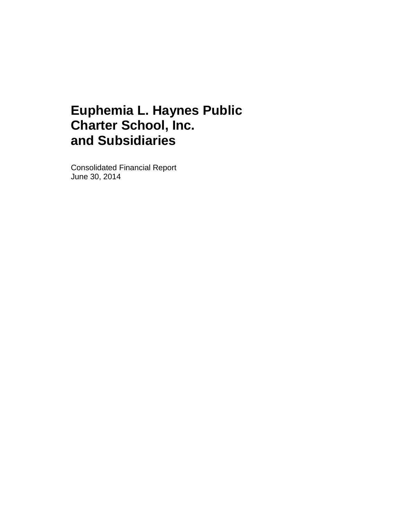Consolidated Financial Report June 30, 2014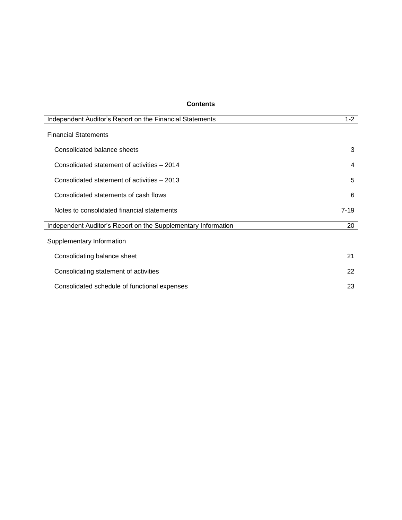#### **Contents**

| Independent Auditor's Report on the Financial Statements      | $1 - 2$  |
|---------------------------------------------------------------|----------|
| <b>Financial Statements</b>                                   |          |
| Consolidated balance sheets                                   | 3        |
| Consolidated statement of activities - 2014                   | 4        |
| Consolidated statement of activities - 2013                   | 5        |
| Consolidated statements of cash flows                         | 6        |
| Notes to consolidated financial statements                    | $7 - 19$ |
| Independent Auditor's Report on the Supplementary Information | 20       |
| Supplementary Information                                     |          |
| Consolidating balance sheet                                   | 21       |
| Consolidating statement of activities                         | 22       |
| Consolidated schedule of functional expenses                  | 23       |
|                                                               |          |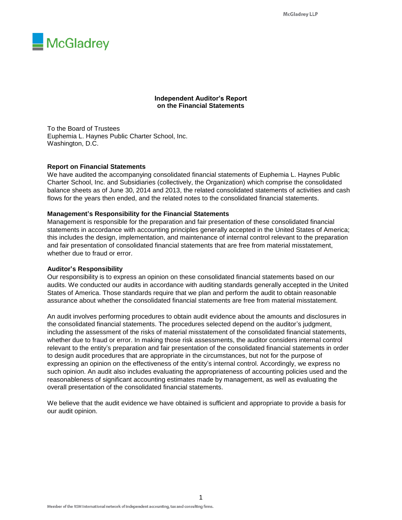

**Independent Auditor's Report on the Financial Statements**

To the Board of Trustees Euphemia L. Haynes Public Charter School, Inc. Washington, D.C.

#### **Report on Financial Statements**

We have audited the accompanying consolidated financial statements of Euphemia L. Haynes Public Charter School, Inc. and Subsidiaries (collectively, the Organization) which comprise the consolidated balance sheets as of June 30, 2014 and 2013, the related consolidated statements of activities and cash flows for the years then ended, and the related notes to the consolidated financial statements.

#### **Management's Responsibility for the Financial Statements**

Management is responsible for the preparation and fair presentation of these consolidated financial statements in accordance with accounting principles generally accepted in the United States of America; this includes the design, implementation, and maintenance of internal control relevant to the preparation and fair presentation of consolidated financial statements that are free from material misstatement, whether due to fraud or error.

#### **Auditor's Responsibility**

Our responsibility is to express an opinion on these consolidated financial statements based on our audits. We conducted our audits in accordance with auditing standards generally accepted in the United States of America. Those standards require that we plan and perform the audit to obtain reasonable assurance about whether the consolidated financial statements are free from material misstatement.

An audit involves performing procedures to obtain audit evidence about the amounts and disclosures in the consolidated financial statements. The procedures selected depend on the auditor's judgment, including the assessment of the risks of material misstatement of the consolidated financial statements, whether due to fraud or error. In making those risk assessments, the auditor considers internal control relevant to the entity's preparation and fair presentation of the consolidated financial statements in order to design audit procedures that are appropriate in the circumstances, but not for the purpose of expressing an opinion on the effectiveness of the entity's internal control. Accordingly, we express no such opinion. An audit also includes evaluating the appropriateness of accounting policies used and the reasonableness of significant accounting estimates made by management, as well as evaluating the overall presentation of the consolidated financial statements.

We believe that the audit evidence we have obtained is sufficient and appropriate to provide a basis for our audit opinion.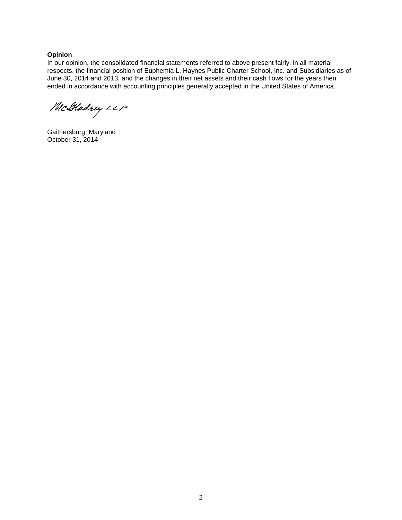#### **Opinion**

In our opinion, the consolidated financial statements referred to above present fairly, in all material respects, the financial position of Euphemia L. Haynes Public Charter School, Inc. and Subsidiaries as of June 30, 2014 and 2013, and the changes in their net assets and their cash flows for the years then ended in accordance with accounting principles generally accepted in the United States of America.

McGladrey LLP

Gaithersburg, Maryland October 31, 2014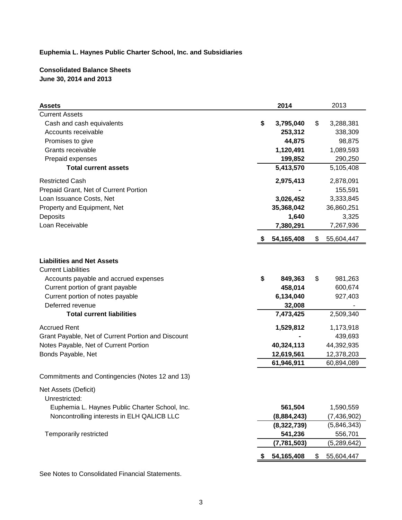## **Consolidated Balance Sheets June 30, 2014 and 2013**

| <b>Assets</b>                                                                                                                                                                                                                                                                                                                                                                        | 2014                                                                                                                | 2013                                                                                                               |
|--------------------------------------------------------------------------------------------------------------------------------------------------------------------------------------------------------------------------------------------------------------------------------------------------------------------------------------------------------------------------------------|---------------------------------------------------------------------------------------------------------------------|--------------------------------------------------------------------------------------------------------------------|
| <b>Current Assets</b>                                                                                                                                                                                                                                                                                                                                                                |                                                                                                                     |                                                                                                                    |
| Cash and cash equivalents                                                                                                                                                                                                                                                                                                                                                            | \$<br>3,795,040                                                                                                     | \$<br>3,288,381                                                                                                    |
| Accounts receivable                                                                                                                                                                                                                                                                                                                                                                  | 253,312                                                                                                             | 338,309                                                                                                            |
| Promises to give                                                                                                                                                                                                                                                                                                                                                                     | 44,875                                                                                                              | 98,875                                                                                                             |
| Grants receivable                                                                                                                                                                                                                                                                                                                                                                    | 1,120,491                                                                                                           | 1,089,593                                                                                                          |
| Prepaid expenses                                                                                                                                                                                                                                                                                                                                                                     | 199,852                                                                                                             | 290,250                                                                                                            |
| <b>Total current assets</b>                                                                                                                                                                                                                                                                                                                                                          | 5,413,570                                                                                                           | 5,105,408                                                                                                          |
| <b>Restricted Cash</b>                                                                                                                                                                                                                                                                                                                                                               | 2,975,413                                                                                                           | 2,878,091                                                                                                          |
| Prepaid Grant, Net of Current Portion                                                                                                                                                                                                                                                                                                                                                |                                                                                                                     | 155,591                                                                                                            |
| Loan Issuance Costs, Net                                                                                                                                                                                                                                                                                                                                                             | 3,026,452                                                                                                           | 3,333,845                                                                                                          |
| Property and Equipment, Net                                                                                                                                                                                                                                                                                                                                                          | 35,368,042                                                                                                          | 36,860,251                                                                                                         |
| Deposits                                                                                                                                                                                                                                                                                                                                                                             | 1,640                                                                                                               | 3,325                                                                                                              |
| Loan Receivable                                                                                                                                                                                                                                                                                                                                                                      | 7,380,291                                                                                                           | 7,267,936                                                                                                          |
|                                                                                                                                                                                                                                                                                                                                                                                      | 54,165,408                                                                                                          | \$<br>55,604,447                                                                                                   |
| <b>Liabilities and Net Assets</b><br><b>Current Liabilities</b><br>Accounts payable and accrued expenses<br>Current portion of grant payable<br>Current portion of notes payable<br>Deferred revenue<br><b>Total current liabilities</b><br><b>Accrued Rent</b><br>Grant Payable, Net of Current Portion and Discount<br>Notes Payable, Net of Current Portion<br>Bonds Payable, Net | \$<br>849,363<br>458,014<br>6,134,040<br>32,008<br>7,473,425<br>1,529,812<br>40,324,113<br>12,619,561<br>61,946,911 | \$<br>981,263<br>600,674<br>927,403<br>2,509,340<br>1,173,918<br>439,693<br>44,392,935<br>12,378,203<br>60,894,089 |
| Commitments and Contingencies (Notes 12 and 13)                                                                                                                                                                                                                                                                                                                                      |                                                                                                                     |                                                                                                                    |
| Net Assets (Deficit)<br>Unrestricted:<br>Euphemia L. Haynes Public Charter School, Inc.<br>Noncontrolling interests in ELH QALICB LLC                                                                                                                                                                                                                                                | 561,504<br>(8,884,243)<br>(8,322,739)                                                                               | 1,590,559<br>(7, 436, 902)                                                                                         |
| Temporarily restricted                                                                                                                                                                                                                                                                                                                                                               | 541,236                                                                                                             | (5,846,343)<br>556,701                                                                                             |
|                                                                                                                                                                                                                                                                                                                                                                                      | (7, 781, 503)                                                                                                       | (5, 289, 642)                                                                                                      |
|                                                                                                                                                                                                                                                                                                                                                                                      |                                                                                                                     |                                                                                                                    |
|                                                                                                                                                                                                                                                                                                                                                                                      | 54,165,408                                                                                                          | \$<br>55,604,447                                                                                                   |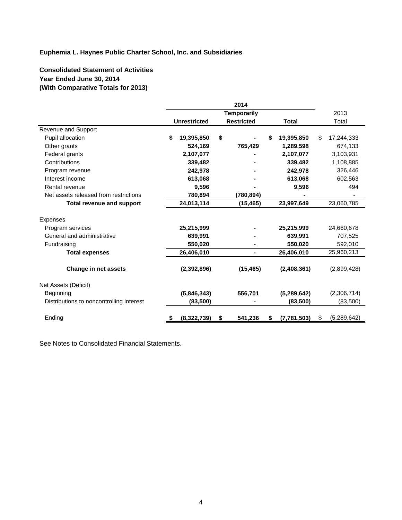# **Consolidated Statement of Activities Year Ended June 30, 2014 (With Comparative Totals for 2013)**

|                                          | 2014 |                     |    |                    |   |               |                   |
|------------------------------------------|------|---------------------|----|--------------------|---|---------------|-------------------|
|                                          |      |                     |    | <b>Temporarily</b> |   |               | 2013              |
|                                          |      | <b>Unrestricted</b> |    | <b>Restricted</b>  |   | <b>Total</b>  | Total             |
| Revenue and Support                      |      |                     |    |                    |   |               |                   |
| Pupil allocation                         | \$   | 19,395,850          | \$ |                    | S | 19,395,850    | \$<br>17,244,333  |
| Other grants                             |      | 524,169             |    | 765,429            |   | 1,289,598     | 674,133           |
| Federal grants                           |      | 2,107,077           |    |                    |   | 2,107,077     | 3,103,931         |
| Contributions                            |      | 339,482             |    |                    |   | 339,482       | 1,108,885         |
| Program revenue                          |      | 242,978             |    |                    |   | 242,978       | 326,446           |
| Interest income                          |      | 613,068             |    |                    |   | 613,068       | 602,563           |
| Rental revenue                           |      | 9,596               |    |                    |   | 9,596         | 494               |
| Net assets released from restrictions    |      | 780,894             |    | (780, 894)         |   |               |                   |
| <b>Total revenue and support</b>         |      | 24,013,114          |    | (15, 465)          |   | 23,997,649    | 23,060,785        |
| <b>Expenses</b>                          |      |                     |    |                    |   |               |                   |
| Program services                         |      | 25,215,999          |    |                    |   | 25,215,999    | 24,660,678        |
| General and administrative               |      | 639,991             |    |                    |   | 639,991       | 707,525           |
| Fundraising                              |      | 550,020             |    |                    |   | 550,020       | 592,010           |
| <b>Total expenses</b>                    |      | 26,406,010          |    | ۰                  |   | 26,406,010    | 25,960,213        |
| <b>Change in net assets</b>              |      | (2,392,896)         |    | (15, 465)          |   | (2,408,361)   | (2,899,428)       |
| Net Assets (Deficit)                     |      |                     |    |                    |   |               |                   |
| <b>Beginning</b>                         |      | (5,846,343)         |    | 556,701            |   | (5,289,642)   | (2,306,714)       |
| Distributions to noncontrolling interest |      | (83, 500)           |    |                    |   | (83, 500)     | (83, 500)         |
| Ending                                   |      | (8,322,739)         | \$ | 541,236            |   | (7, 781, 503) | \$<br>(5,289,642) |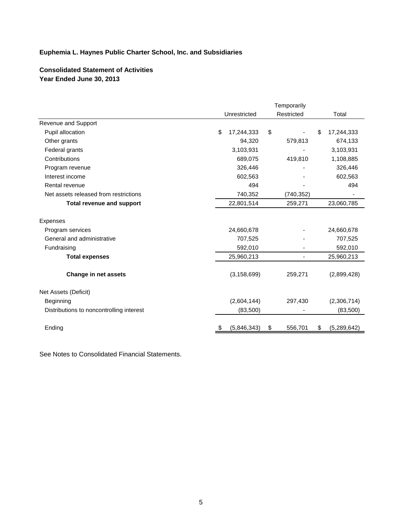## **Consolidated Statement of Activities Year Ended June 30, 2013**

|                                          | Temporarily                |               |    |            |       |             |
|------------------------------------------|----------------------------|---------------|----|------------|-------|-------------|
|                                          | Unrestricted<br>Restricted |               |    |            | Total |             |
| Revenue and Support                      |                            |               |    |            |       |             |
| Pupil allocation                         | \$                         | 17,244,333    | \$ |            | \$    | 17,244,333  |
| Other grants                             |                            | 94,320        |    | 579,813    |       | 674,133     |
| Federal grants                           |                            | 3,103,931     |    |            |       | 3,103,931   |
| Contributions                            |                            | 689,075       |    | 419,810    |       | 1,108,885   |
| Program revenue                          |                            | 326,446       |    |            |       | 326,446     |
| Interest income                          |                            | 602,563       |    |            |       | 602,563     |
| Rental revenue                           |                            | 494           |    |            |       | 494         |
| Net assets released from restrictions    |                            | 740,352       |    | (740, 352) |       |             |
| <b>Total revenue and support</b>         |                            | 22,801,514    |    | 259,271    |       | 23,060,785  |
| <b>Expenses</b>                          |                            |               |    |            |       |             |
| Program services                         |                            | 24,660,678    |    |            |       | 24,660,678  |
| General and administrative               |                            | 707,525       |    |            |       | 707,525     |
| Fundraising                              |                            | 592,010       |    |            |       | 592,010     |
| <b>Total expenses</b>                    |                            | 25,960,213    |    |            |       | 25,960,213  |
| <b>Change in net assets</b>              |                            | (3, 158, 699) |    | 259,271    |       | (2,899,428) |
| Net Assets (Deficit)                     |                            |               |    |            |       |             |
| Beginning                                |                            | (2,604,144)   |    | 297,430    |       | (2,306,714) |
| Distributions to noncontrolling interest |                            | (83,500)      |    |            |       | (83,500)    |
| Ending                                   |                            | (5,846,343)   | \$ | 556,701    | \$    | (5,289,642) |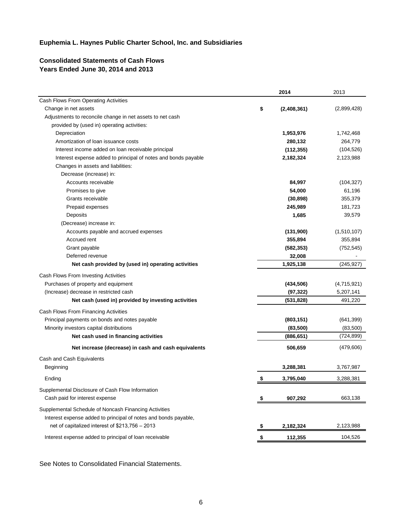# **Consolidated Statements of Cash Flows Years Ended June 30, 2014 and 2013**

|                                                                 | 2014              | 2013        |
|-----------------------------------------------------------------|-------------------|-------------|
| Cash Flows From Operating Activities                            |                   |             |
| Change in net assets                                            | \$<br>(2,408,361) | (2,899,428) |
| Adjustments to reconcile change in net assets to net cash       |                   |             |
| provided by (used in) operating activities:                     |                   |             |
| Depreciation                                                    | 1,953,976         | 1,742,468   |
| Amortization of loan issuance costs                             | 280,132           | 264,779     |
| Interest income added on loan receivable principal              | (112, 355)        | (104, 526)  |
| Interest expense added to principal of notes and bonds payable  | 2,182,324         | 2,123,988   |
| Changes in assets and liabilities:                              |                   |             |
| Decrease (increase) in:                                         |                   |             |
| Accounts receivable                                             | 84,997            | (104, 327)  |
| Promises to give                                                | 54,000            | 61,196      |
| Grants receivable                                               | (30, 898)         | 355,379     |
| Prepaid expenses                                                | 245,989           | 181,723     |
| Deposits                                                        | 1,685             | 39,579      |
| (Decrease) increase in:                                         |                   |             |
| Accounts payable and accrued expenses                           | (131,900)         | (1,510,107) |
| Accrued rent                                                    | 355,894           | 355,894     |
| Grant payable                                                   | (582, 353)        | (752, 545)  |
| Deferred revenue                                                | 32,008            |             |
| Net cash provided by (used in) operating activities             | 1,925,138         | (245, 927)  |
| Cash Flows From Investing Activities                            |                   |             |
| Purchases of property and equipment                             | (434, 506)        | (4,715,921) |
| (Increase) decrease in restricted cash                          | (97, 322)         | 5,207,141   |
| Net cash (used in) provided by investing activities             | (531, 828)        | 491,220     |
| Cash Flows From Financing Activities                            |                   |             |
| Principal payments on bonds and notes payable                   | (803, 151)        | (641, 399)  |
| Minority investors capital distributions                        | (83, 500)         | (83,500)    |
| Net cash used in financing activities                           | (886, 651)        | (724, 899)  |
| Net increase (decrease) in cash and cash equivalents            | 506,659           | (479, 606)  |
| Cash and Cash Equivalents                                       |                   |             |
| Beginning                                                       | 3,288,381         | 3,767,987   |
| Ending                                                          | \$<br>3,795,040   | 3,288,381   |
|                                                                 |                   |             |
| Supplemental Disclosure of Cash Flow Information                |                   |             |
| Cash paid for interest expense                                  | 907,292           | 663,138     |
| Supplemental Schedule of Noncash Financing Activities           |                   |             |
| Interest expense added to principal of notes and bonds payable, |                   |             |
| net of capitalized interest of \$213,756 - 2013                 | \$<br>2,182,324   | 2,123,988   |
| Interest expense added to principal of loan receivable          | \$<br>112,355     | 104,526     |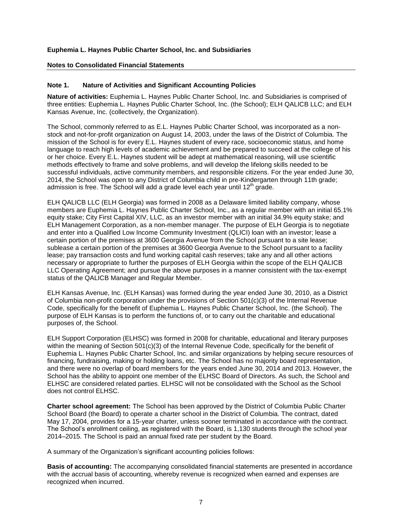#### **Notes to Consolidated Financial Statements**

#### **Note 1. Nature of Activities and Significant Accounting Policies**

**Nature of activities:** Euphemia L. Haynes Public Charter School, Inc. and Subsidiaries is comprised of three entities: Euphemia L. Haynes Public Charter School, Inc. (the School); ELH QALICB LLC; and ELH Kansas Avenue, Inc. (collectively, the Organization).

The School, commonly referred to as E.L. Haynes Public Charter School, was incorporated as a nonstock and not-for-profit organization on August 14, 2003, under the laws of the District of Columbia. The mission of the School is for every E.L. Haynes student of every race, socioeconomic status, and home language to reach high levels of academic achievement and be prepared to succeed at the college of his or her choice. Every E.L. Haynes student will be adept at mathematical reasoning, will use scientific methods effectively to frame and solve problems, and will develop the lifelong skills needed to be successful individuals, active community members, and responsible citizens. For the year ended June 30, 2014, the School was open to any District of Columbia child in pre-Kindergarten through 11th grade; admission is free. The School will add a grade level each year until 12<sup>th</sup> grade.

ELH QALICB LLC (ELH Georgia) was formed in 2008 as a Delaware limited liability company, whose members are Euphemia L. Haynes Public Charter School, Inc., as a regular member with an initial 65.1% equity stake; City First Capital XIV, LLC, as an investor member with an initial 34.9% equity stake; and ELH Management Corporation, as a non-member manager. The purpose of ELH Georgia is to negotiate and enter into a Qualified Low Income Community Investment (QLICI) loan with an investor; lease a certain portion of the premises at 3600 Georgia Avenue from the School pursuant to a site lease; sublease a certain portion of the premises at 3600 Georgia Avenue to the School pursuant to a facility lease; pay transaction costs and fund working capital cash reserves; take any and all other actions necessary or appropriate to further the purposes of ELH Georgia within the scope of the ELH QALICB LLC Operating Agreement; and pursue the above purposes in a manner consistent with the tax-exempt status of the QALICB Manager and Regular Member.

ELH Kansas Avenue, Inc. (ELH Kansas) was formed during the year ended June 30, 2010, as a District of Columbia non-profit corporation under the provisions of Section 501(c)(3) of the Internal Revenue Code, specifically for the benefit of Euphemia L. Haynes Public Charter School, Inc. (the School). The purpose of ELH Kansas is to perform the functions of, or to carry out the charitable and educational purposes of, the School.

ELH Support Corporation (ELHSC) was formed in 2008 for charitable, educational and literary purposes within the meaning of Section 501(c)(3) of the Internal Revenue Code, specifically for the benefit of Euphemia L. Haynes Public Charter School, Inc. and similar organizations by helping secure resources of financing, fundraising, making or holding loans, etc. The School has no majority board representation, and there were no overlap of board members for the years ended June 30, 2014 and 2013. However, the School has the ability to appoint one member of the ELHSC Board of Directors. As such, the School and ELHSC are considered related parties. ELHSC will not be consolidated with the School as the School does not control ELHSC.

**Charter school agreement:** The School has been approved by the District of Columbia Public Charter School Board (the Board) to operate a charter school in the District of Columbia. The contract, dated May 17, 2004, provides for a 15-year charter, unless sooner terminated in accordance with the contract. The School's enrollment ceiling, as registered with the Board, is 1,130 students through the school year 2014–2015. The School is paid an annual fixed rate per student by the Board.

A summary of the Organization's significant accounting policies follows:

**Basis of accounting:** The accompanying consolidated financial statements are presented in accordance with the accrual basis of accounting, whereby revenue is recognized when earned and expenses are recognized when incurred.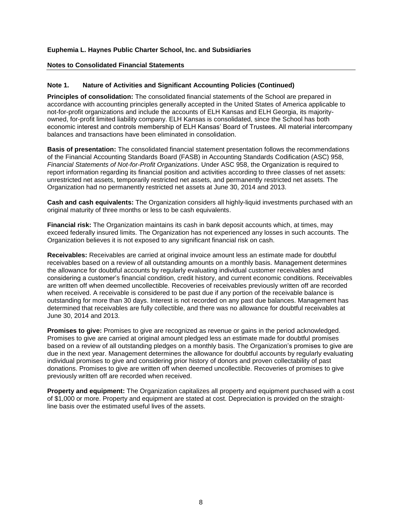#### **Notes to Consolidated Financial Statements**

#### **Note 1. Nature of Activities and Significant Accounting Policies (Continued)**

**Principles of consolidation:** The consolidated financial statements of the School are prepared in accordance with accounting principles generally accepted in the United States of America applicable to not-for-profit organizations and include the accounts of ELH Kansas and ELH Georgia, its majorityowned, for-profit limited liability company. ELH Kansas is consolidated, since the School has both economic interest and controls membership of ELH Kansas' Board of Trustees. All material intercompany balances and transactions have been eliminated in consolidation.

**Basis of presentation:** The consolidated financial statement presentation follows the recommendations of the Financial Accounting Standards Board (FASB) in Accounting Standards Codification (ASC) 958, *Financial Statements of Not-for-Profit Organizations*. Under ASC 958, the Organization is required to report information regarding its financial position and activities according to three classes of net assets: unrestricted net assets, temporarily restricted net assets, and permanently restricted net assets. The Organization had no permanently restricted net assets at June 30, 2014 and 2013.

**Cash and cash equivalents:** The Organization considers all highly-liquid investments purchased with an original maturity of three months or less to be cash equivalents.

**Financial risk:** The Organization maintains its cash in bank deposit accounts which, at times, may exceed federally insured limits. The Organization has not experienced any losses in such accounts. The Organization believes it is not exposed to any significant financial risk on cash.

**Receivables:** Receivables are carried at original invoice amount less an estimate made for doubtful receivables based on a review of all outstanding amounts on a monthly basis. Management determines the allowance for doubtful accounts by regularly evaluating individual customer receivables and considering a customer's financial condition, credit history, and current economic conditions. Receivables are written off when deemed uncollectible. Recoveries of receivables previously written off are recorded when received. A receivable is considered to be past due if any portion of the receivable balance is outstanding for more than 30 days. Interest is not recorded on any past due balances. Management has determined that receivables are fully collectible, and there was no allowance for doubtful receivables at June 30, 2014 and 2013.

**Promises to give:** Promises to give are recognized as revenue or gains in the period acknowledged. Promises to give are carried at original amount pledged less an estimate made for doubtful promises based on a review of all outstanding pledges on a monthly basis. The Organization's promises to give are due in the next year. Management determines the allowance for doubtful accounts by regularly evaluating individual promises to give and considering prior history of donors and proven collectability of past donations. Promises to give are written off when deemed uncollectible. Recoveries of promises to give previously written off are recorded when received.

**Property and equipment:** The Organization capitalizes all property and equipment purchased with a cost of \$1,000 or more. Property and equipment are stated at cost. Depreciation is provided on the straightline basis over the estimated useful lives of the assets.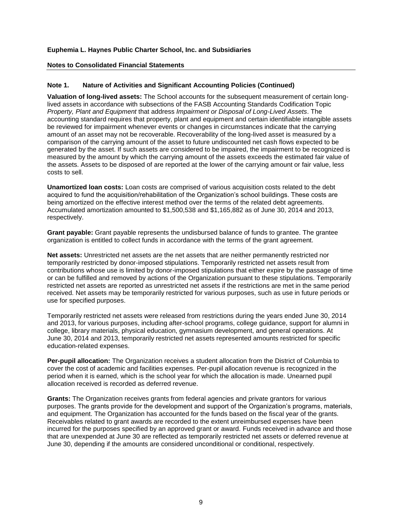#### **Notes to Consolidated Financial Statements**

#### **Note 1. Nature of Activities and Significant Accounting Policies (Continued)**

**Valuation of long-lived assets:** The School accounts for the subsequent measurement of certain longlived assets in accordance with subsections of the FASB Accounting Standards Codification Topic *Property, Plant and Equipment* that address *Impairment or Disposal of Long-Lived Assets*. The accounting standard requires that property, plant and equipment and certain identifiable intangible assets be reviewed for impairment whenever events or changes in circumstances indicate that the carrying amount of an asset may not be recoverable. Recoverability of the long-lived asset is measured by a comparison of the carrying amount of the asset to future undiscounted net cash flows expected to be generated by the asset. If such assets are considered to be impaired, the impairment to be recognized is measured by the amount by which the carrying amount of the assets exceeds the estimated fair value of the assets. Assets to be disposed of are reported at the lower of the carrying amount or fair value, less costs to sell.

**Unamortized loan costs:** Loan costs are comprised of various acquisition costs related to the debt acquired to fund the acquisition/rehabilitation of the Organization's school buildings. These costs are being amortized on the effective interest method over the terms of the related debt agreements. Accumulated amortization amounted to \$1,500,538 and \$1,165,882 as of June 30, 2014 and 2013, respectively.

**Grant payable:** Grant payable represents the undisbursed balance of funds to grantee. The grantee organization is entitled to collect funds in accordance with the terms of the grant agreement.

**Net assets:** Unrestricted net assets are the net assets that are neither permanently restricted nor temporarily restricted by donor-imposed stipulations. Temporarily restricted net assets result from contributions whose use is limited by donor-imposed stipulations that either expire by the passage of time or can be fulfilled and removed by actions of the Organization pursuant to these stipulations. Temporarily restricted net assets are reported as unrestricted net assets if the restrictions are met in the same period received. Net assets may be temporarily restricted for various purposes, such as use in future periods or use for specified purposes.

Temporarily restricted net assets were released from restrictions during the years ended June 30, 2014 and 2013, for various purposes, including after-school programs, college guidance, support for alumni in college, library materials, physical education, gymnasium development, and general operations. At June 30, 2014 and 2013, temporarily restricted net assets represented amounts restricted for specific education-related expenses.

**Per-pupil allocation:** The Organization receives a student allocation from the District of Columbia to cover the cost of academic and facilities expenses. Per-pupil allocation revenue is recognized in the period when it is earned, which is the school year for which the allocation is made. Unearned pupil allocation received is recorded as deferred revenue.

**Grants:** The Organization receives grants from federal agencies and private grantors for various purposes. The grants provide for the development and support of the Organization's programs, materials, and equipment. The Organization has accounted for the funds based on the fiscal year of the grants. Receivables related to grant awards are recorded to the extent unreimbursed expenses have been incurred for the purposes specified by an approved grant or award. Funds received in advance and those that are unexpended at June 30 are reflected as temporarily restricted net assets or deferred revenue at June 30, depending if the amounts are considered unconditional or conditional, respectively.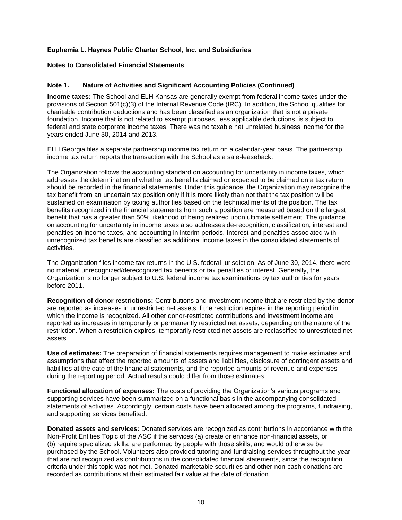#### **Notes to Consolidated Financial Statements**

#### **Note 1. Nature of Activities and Significant Accounting Policies (Continued)**

**Income taxes:** The School and ELH Kansas are generally exempt from federal income taxes under the provisions of Section 501(c)(3) of the Internal Revenue Code (IRC). In addition, the School qualifies for charitable contribution deductions and has been classified as an organization that is not a private foundation. Income that is not related to exempt purposes, less applicable deductions, is subject to federal and state corporate income taxes. There was no taxable net unrelated business income for the years ended June 30, 2014 and 2013.

ELH Georgia files a separate partnership income tax return on a calendar-year basis. The partnership income tax return reports the transaction with the School as a sale-leaseback.

The Organization follows the accounting standard on accounting for uncertainty in income taxes, which addresses the determination of whether tax benefits claimed or expected to be claimed on a tax return should be recorded in the financial statements. Under this guidance, the Organization may recognize the tax benefit from an uncertain tax position only if it is more likely than not that the tax position will be sustained on examination by taxing authorities based on the technical merits of the position. The tax benefits recognized in the financial statements from such a position are measured based on the largest benefit that has a greater than 50% likelihood of being realized upon ultimate settlement. The guidance on accounting for uncertainty in income taxes also addresses de-recognition, classification, interest and penalties on income taxes, and accounting in interim periods. Interest and penalties associated with unrecognized tax benefits are classified as additional income taxes in the consolidated statements of activities.

The Organization files income tax returns in the U.S. federal jurisdiction. As of June 30, 2014, there were no material unrecognized/derecognized tax benefits or tax penalties or interest. Generally, the Organization is no longer subject to U.S. federal income tax examinations by tax authorities for years before 2011.

**Recognition of donor restrictions:** Contributions and investment income that are restricted by the donor are reported as increases in unrestricted net assets if the restriction expires in the reporting period in which the income is recognized. All other donor-restricted contributions and investment income are reported as increases in temporarily or permanently restricted net assets, depending on the nature of the restriction. When a restriction expires, temporarily restricted net assets are reclassified to unrestricted net assets.

**Use of estimates:** The preparation of financial statements requires management to make estimates and assumptions that affect the reported amounts of assets and liabilities, disclosure of contingent assets and liabilities at the date of the financial statements, and the reported amounts of revenue and expenses during the reporting period. Actual results could differ from those estimates.

**Functional allocation of expenses:** The costs of providing the Organization's various programs and supporting services have been summarized on a functional basis in the accompanying consolidated statements of activities. Accordingly, certain costs have been allocated among the programs, fundraising, and supporting services benefited.

**Donated assets and services:** Donated services are recognized as contributions in accordance with the Non-Profit Entities Topic of the ASC if the services (a) create or enhance non-financial assets, or (b) require specialized skills, are performed by people with those skills, and would otherwise be purchased by the School. Volunteers also provided tutoring and fundraising services throughout the year that are not recognized as contributions in the consolidated financial statements, since the recognition criteria under this topic was not met. Donated marketable securities and other non-cash donations are recorded as contributions at their estimated fair value at the date of donation.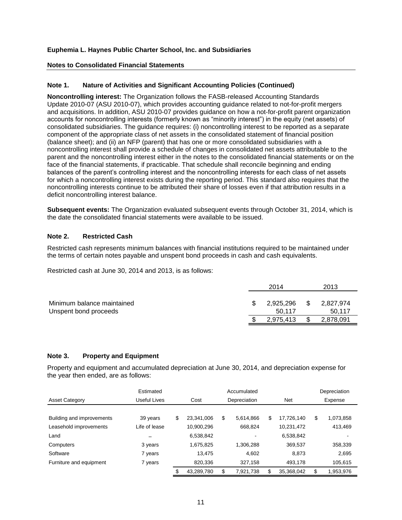#### **Notes to Consolidated Financial Statements**

#### **Note 1. Nature of Activities and Significant Accounting Policies (Continued)**

**Noncontrolling interest:** The Organization follows the FASB-released Accounting Standards Update 2010-07 (ASU 2010-07), which provides accounting guidance related to not-for-profit mergers and acquisitions. In addition, ASU 2010-07 provides guidance on how a not-for-profit parent organization accounts for noncontrolling interests (formerly known as "minority interest") in the equity (net assets) of consolidated subsidiaries. The guidance requires: (i) noncontrolling interest to be reported as a separate component of the appropriate class of net assets in the consolidated statement of financial position (balance sheet); and (ii) an NFP (parent) that has one or more consolidated subsidiaries with a noncontrolling interest shall provide a schedule of changes in consolidated net assets attributable to the parent and the noncontrolling interest either in the notes to the consolidated financial statements or on the face of the financial statements, if practicable. That schedule shall reconcile beginning and ending balances of the parent's controlling interest and the noncontrolling interests for each class of net assets for which a noncontrolling interest exists during the reporting period. This standard also requires that the noncontrolling interests continue to be attributed their share of losses even if that attribution results in a deficit noncontrolling interest balance.

**Subsequent events:** The Organization evaluated subsequent events through October 31, 2014, which is the date the consolidated financial statements were available to be issued.

#### **Note 2. Restricted Cash**

Restricted cash represents minimum balances with financial institutions required to be maintained under the terms of certain notes payable and unspent bond proceeds in cash and cash equivalents.

Restricted cash at June 30, 2014 and 2013, is as follows:

|                                                     | 2014                | 2013                      |
|-----------------------------------------------------|---------------------|---------------------------|
| Minimum balance maintained<br>Unspent bond proceeds | 2,925,296<br>50.117 | \$<br>2,827,974<br>50.117 |
|                                                     | 2.975.413           | 2,878,091                 |

#### **Note 3. Property and Equipment**

Property and equipment and accumulated depreciation at June 30, 2014, and depreciation expense for the year then ended, are as follows:

|                           | Estimated     |                  | Accumulated     |    |            | Depreciation    |
|---------------------------|---------------|------------------|-----------------|----|------------|-----------------|
| <b>Asset Category</b>     | Useful Lives  | Cost             | Depreciation    |    | <b>Net</b> | Expense         |
|                           |               |                  |                 |    |            |                 |
| Building and improvements | 39 years      | \$<br>23,341,006 | \$<br>5,614,866 | \$ | 17.726.140 | \$<br>1,073,858 |
| Leasehold improvements    | Life of lease | 10,900,296       | 668,824         |    | 10,231,472 | 413,469         |
| Land                      |               | 6,538,842        |                 |    | 6,538,842  |                 |
| Computers                 | 3 years       | 1,675,825        | 1,306,288       |    | 369,537    | 358,339         |
| Software                  | 7 years       | 13.475           | 4,602           |    | 8,873      | 2,695           |
| Furniture and equipment   | 7 years       | 820,336          | 327,158         |    | 493.178    | 105,615         |
|                           |               | \$<br>43,289,780 | \$<br>7,921,738 | S  | 35,368,042 | \$<br>1,953,976 |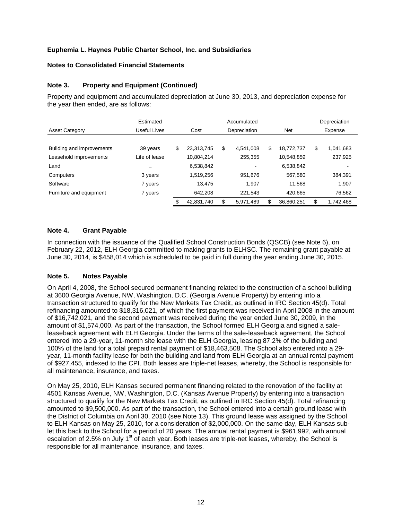#### **Notes to Consolidated Financial Statements**

#### **Note 3. Property and Equipment (Continued)**

Property and equipment and accumulated depreciation at June 30, 2013, and depreciation expense for the year then ended, are as follows:

|                           | Estimated     |                  | Accumulated              |                  | Depreciation    |
|---------------------------|---------------|------------------|--------------------------|------------------|-----------------|
| <b>Asset Category</b>     | Useful Lives  | Cost             | Depreciation             | <b>Net</b>       | Expense         |
|                           |               |                  |                          |                  |                 |
| Building and improvements | 39 years      | \$<br>23,313,745 | \$<br>4,541,008          | \$<br>18.772.737 | \$<br>1,041,683 |
| Leasehold improvements    | Life of lease | 10.804.214       | 255,355                  | 10.548.859       | 237,925         |
| Land                      |               | 6,538,842        | $\overline{\phantom{a}}$ | 6,538,842        |                 |
| Computers                 | 3 years       | 1,519,256        | 951.676                  | 567.580          | 384.391         |
| Software                  | 7 years       | 13.475           | 1.907                    | 11.568           | 1,907           |
| Furniture and equipment   | 7 years       | 642.208          | 221.543                  | 420.665          | 76,562          |
|                           |               | 42,831,740       | \$<br>5,971,489          | 36,860,251       | \$<br>1,742,468 |

#### **Note 4. Grant Payable**

In connection with the issuance of the Qualified School Construction Bonds (QSCB) (see Note 6), on February 22, 2012, ELH Georgia committed to making grants to ELHSC. The remaining grant payable at June 30, 2014, is \$458,014 which is scheduled to be paid in full during the year ending June 30, 2015.

#### **Note 5. Notes Payable**

On April 4, 2008, the School secured permanent financing related to the construction of a school building at 3600 Georgia Avenue, NW, Washington, D.C. (Georgia Avenue Property) by entering into a transaction structured to qualify for the New Markets Tax Credit, as outlined in IRC Section 45(d). Total refinancing amounted to \$18,316,021, of which the first payment was received in April 2008 in the amount of \$16,742,021, and the second payment was received during the year ended June 30, 2009, in the amount of \$1,574,000. As part of the transaction, the School formed ELH Georgia and signed a saleleaseback agreement with ELH Georgia. Under the terms of the sale-leaseback agreement, the School entered into a 29-year, 11-month site lease with the ELH Georgia, leasing 87.2% of the building and 100% of the land for a total prepaid rental payment of \$18,463,508. The School also entered into a 29 year, 11-month facility lease for both the building and land from ELH Georgia at an annual rental payment of \$927,455, indexed to the CPI. Both leases are triple-net leases, whereby, the School is responsible for all maintenance, insurance, and taxes.

On May 25, 2010, ELH Kansas secured permanent financing related to the renovation of the facility at 4501 Kansas Avenue, NW, Washington, D.C. (Kansas Avenue Property) by entering into a transaction structured to qualify for the New Markets Tax Credit, as outlined in IRC Section 45(d). Total refinancing amounted to \$9,500,000. As part of the transaction, the School entered into a certain ground lease with the District of Columbia on April 30, 2010 (see Note 13). This ground lease was assigned by the School to ELH Kansas on May 25, 2010, for a consideration of \$2,000,000. On the same day, ELH Kansas sublet this back to the School for a period of 20 years. The annual rental payment is \$961,992, with annual escalation of 2.5% on July 1<sup>st</sup> of each year. Both leases are triple-net leases, whereby, the School is responsible for all maintenance, insurance, and taxes.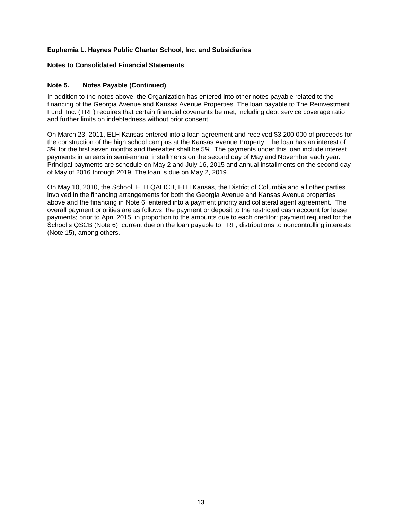#### **Notes to Consolidated Financial Statements**

#### **Note 5. Notes Payable (Continued)**

In addition to the notes above, the Organization has entered into other notes payable related to the financing of the Georgia Avenue and Kansas Avenue Properties. The loan payable to The Reinvestment Fund, Inc. (TRF) requires that certain financial covenants be met, including debt service coverage ratio and further limits on indebtedness without prior consent.

On March 23, 2011, ELH Kansas entered into a loan agreement and received \$3,200,000 of proceeds for the construction of the high school campus at the Kansas Avenue Property. The loan has an interest of 3% for the first seven months and thereafter shall be 5%. The payments under this loan include interest payments in arrears in semi-annual installments on the second day of May and November each year. Principal payments are schedule on May 2 and July 16, 2015 and annual installments on the second day of May of 2016 through 2019. The loan is due on May 2, 2019.

On May 10, 2010, the School, ELH QALICB, ELH Kansas, the District of Columbia and all other parties involved in the financing arrangements for both the Georgia Avenue and Kansas Avenue properties above and the financing in Note 6, entered into a payment priority and collateral agent agreement. The overall payment priorities are as follows: the payment or deposit to the restricted cash account for lease payments; prior to April 2015, in proportion to the amounts due to each creditor: payment required for the School's QSCB (Note 6); current due on the loan payable to TRF; distributions to noncontrolling interests (Note 15), among others.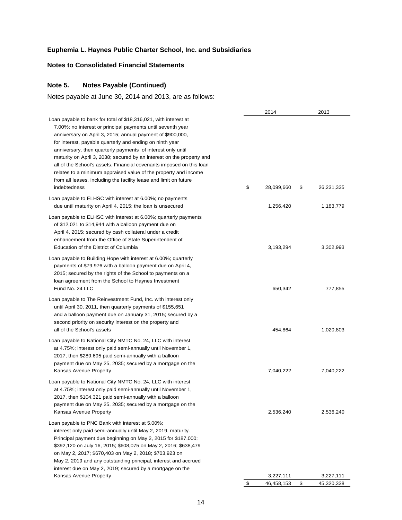## **Notes to Consolidated Financial Statements**

# **Note 5. Notes Payable (Continued)**

Notes payable at June 30, 2014 and 2013, are as follows:

|                                                                                                                                                                                                                                                                                                                                                                                                                                                                                                                                                                                                                                   |                | 2014       | 2013             |
|-----------------------------------------------------------------------------------------------------------------------------------------------------------------------------------------------------------------------------------------------------------------------------------------------------------------------------------------------------------------------------------------------------------------------------------------------------------------------------------------------------------------------------------------------------------------------------------------------------------------------------------|----------------|------------|------------------|
| Loan payable to bank for total of \$18,316,021, with interest at<br>7.00%; no interest or principal payments until seventh year<br>anniversary on April 3, 2015; annual payment of \$900,000,<br>for interest, payable quarterly and ending on ninth year<br>anniversary, then quarterly payments of interest only until<br>maturity on April 3, 2038; secured by an interest on the property and<br>all of the School's assets. Financial covenants imposed on this loan<br>relates to a minimum appraised value of the property and income<br>from all leases, including the facility lease and limit on future<br>indebtedness | \$             | 28,099,660 | \$<br>26,231,335 |
| Loan payable to ELHSC with interest at 6.00%; no payments<br>due until maturity on April 4, 2015; the loan is unsecured                                                                                                                                                                                                                                                                                                                                                                                                                                                                                                           |                | 1,256,420  | 1,183,779        |
| Loan payable to ELHSC with interest at 6.00%; quarterly payments<br>of \$12,021 to \$14,944 with a balloon payment due on<br>April 4, 2015; secured by cash collateral under a credit<br>enhancement from the Office of State Superintendent of<br>Education of the District of Columbia                                                                                                                                                                                                                                                                                                                                          |                | 3,193,294  | 3,302,993        |
| Loan payable to Building Hope with interest at 6.00%; quarterly<br>payments of \$79,976 with a balloon payment due on April 4,<br>2015; secured by the rights of the School to payments on a<br>loan agreement from the School to Haynes Investment<br>Fund No. 24 LLC                                                                                                                                                                                                                                                                                                                                                            |                | 650,342    | 777,855          |
| Loan payable to The Reinvestment Fund, Inc. with interest only<br>until April 30, 2011, then quarterly payments of \$155,651<br>and a balloon payment due on January 31, 2015; secured by a<br>second priority on security interest on the property and<br>all of the School's assets                                                                                                                                                                                                                                                                                                                                             |                | 454,864    | 1,020,803        |
| Loan payable to National City NMTC No. 24, LLC with interest<br>at 4.75%; interest only paid semi-annually until November 1,<br>2017, then \$289,695 paid semi-annually with a balloon<br>payment due on May 25, 2035; secured by a mortgage on the<br>Kansas Avenue Property                                                                                                                                                                                                                                                                                                                                                     |                | 7,040,222  | 7,040,222        |
| Loan payable to National City NMTC No. 24, LLC with interest<br>at 4.75%; interest only paid semi-annually until November 1,<br>2017, then \$104,321 paid semi-annually with a balloon<br>payment due on May 25, 2035; secured by a mortgage on the<br>Kansas Avenue Property                                                                                                                                                                                                                                                                                                                                                     |                | 2,536,240  | 2,536,240        |
| Loan payable to PNC Bank with interest at 5.00%;<br>interest only paid semi-annually until May 2, 2019, maturity.<br>Principal payment due beginning on May 2, 2015 for \$187,000;<br>\$392,120 on July 16, 2015; \$608,075 on May 2, 2016; \$638,479<br>on May 2, 2017; \$670,403 on May 2, 2018; \$703,923 on<br>May 2, 2019 and any outstanding principal, interest and accrued<br>interest due on May 2, 2019; secured by a mortgage on the<br>Kansas Avenue Property                                                                                                                                                         |                | 3,227,111  | 3,227,111        |
|                                                                                                                                                                                                                                                                                                                                                                                                                                                                                                                                                                                                                                   | $$\mathbb{S}$$ | 46,458,153 | \$<br>45,320,338 |

 $\overline{\phantom{0}}$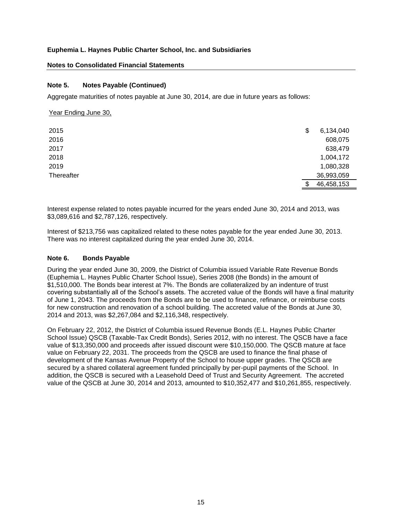#### **Notes to Consolidated Financial Statements**

#### **Note 5. Notes Payable (Continued)**

Aggregate maturities of notes payable at June 30, 2014, are due in future years as follows:

Year Ending June 30,

| 2015       | \$ | 6,134,040  |
|------------|----|------------|
| 2016       |    | 608,075    |
| 2017       |    | 638,479    |
| 2018       |    | 1,004,172  |
| 2019       |    | 1,080,328  |
| Thereafter |    | 36,993,059 |
|            | S  | 46,458,153 |

Interest expense related to notes payable incurred for the years ended June 30, 2014 and 2013, was \$3,089,616 and \$2,787,126, respectively.

Interest of \$213,756 was capitalized related to these notes payable for the year ended June 30, 2013. There was no interest capitalized during the year ended June 30, 2014.

#### **Note 6. Bonds Payable**

During the year ended June 30, 2009, the District of Columbia issued Variable Rate Revenue Bonds (Euphemia L. Haynes Public Charter School Issue), Series 2008 (the Bonds) in the amount of \$1,510,000. The Bonds bear interest at 7%. The Bonds are collateralized by an indenture of trust covering substantially all of the School's assets. The accreted value of the Bonds will have a final maturity of June 1, 2043. The proceeds from the Bonds are to be used to finance, refinance, or reimburse costs for new construction and renovation of a school building. The accreted value of the Bonds at June 30, 2014 and 2013, was \$2,267,084 and \$2,116,348, respectively.

On February 22, 2012, the District of Columbia issued Revenue Bonds (E.L. Haynes Public Charter School Issue) QSCB (Taxable-Tax Credit Bonds), Series 2012, with no interest. The QSCB have a face value of \$13,350,000 and proceeds after issued discount were \$10,150,000. The QSCB mature at face value on February 22, 2031. The proceeds from the QSCB are used to finance the final phase of development of the Kansas Avenue Property of the School to house upper grades. The QSCB are secured by a shared collateral agreement funded principally by per-pupil payments of the School. In addition, the QSCB is secured with a Leasehold Deed of Trust and Security Agreement. The accreted value of the QSCB at June 30, 2014 and 2013, amounted to \$10,352,477 and \$10,261,855, respectively.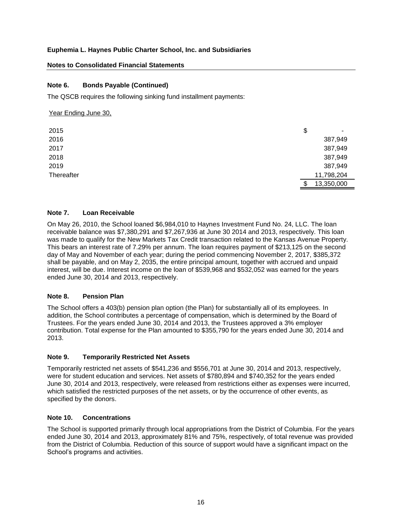#### **Notes to Consolidated Financial Statements**

#### **Note 6. Bonds Payable (Continued)**

The QSCB requires the following sinking fund installment payments:

Year Ending June 30,

| 2015       | \$<br>۰          |
|------------|------------------|
| 2016       | 387,949          |
| 2017       | 387,949          |
| 2018       | 387,949          |
| 2019       | 387,949          |
| Thereafter | 11,798,204       |
|            | \$<br>13,350,000 |

#### **Note 7. Loan Receivable**

On May 26, 2010, the School loaned \$6,984,010 to Haynes Investment Fund No. 24, LLC. The loan receivable balance was \$7,380,291 and \$7,267,936 at June 30 2014 and 2013, respectively. This loan was made to qualify for the New Markets Tax Credit transaction related to the Kansas Avenue Property. This bears an interest rate of 7.29% per annum. The loan requires payment of \$213,125 on the second day of May and November of each year; during the period commencing November 2, 2017, \$385,372 shall be payable, and on May 2, 2035, the entire principal amount, together with accrued and unpaid interest, will be due. Interest income on the loan of \$539,968 and \$532,052 was earned for the years ended June 30, 2014 and 2013, respectively.

#### **Note 8. Pension Plan**

The School offers a 403(b) pension plan option (the Plan) for substantially all of its employees. In addition, the School contributes a percentage of compensation, which is determined by the Board of Trustees. For the years ended June 30, 2014 and 2013, the Trustees approved a 3% employer contribution. Total expense for the Plan amounted to \$355,790 for the years ended June 30, 2014 and 2013.

#### **Note 9. Temporarily Restricted Net Assets**

Temporarily restricted net assets of \$541,236 and \$556,701 at June 30, 2014 and 2013, respectively, were for student education and services. Net assets of \$780,894 and \$740,352 for the years ended June 30, 2014 and 2013, respectively, were released from restrictions either as expenses were incurred, which satisfied the restricted purposes of the net assets, or by the occurrence of other events, as specified by the donors.

#### **Note 10. Concentrations**

The School is supported primarily through local appropriations from the District of Columbia. For the years ended June 30, 2014 and 2013, approximately 81% and 75%, respectively, of total revenue was provided from the District of Columbia. Reduction of this source of support would have a significant impact on the School's programs and activities.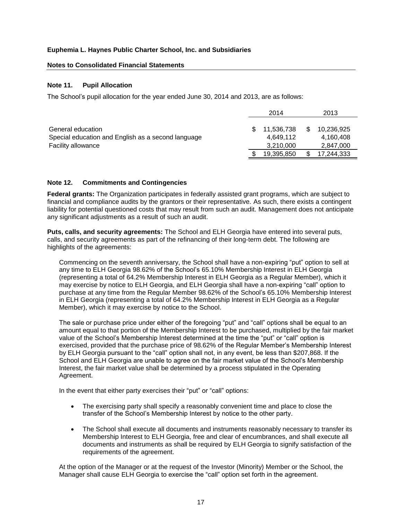#### **Notes to Consolidated Financial Statements**

#### **Note 11. Pupil Allocation**

The School's pupil allocation for the year ended June 30, 2014 and 2013, are as follows:

|                                                    | 2014       | 2013       |
|----------------------------------------------------|------------|------------|
| General education                                  | 11.536.738 | 10,236,925 |
| Special education and English as a second language | 4.649.112  | 4,160,408  |
| <b>Facility allowance</b>                          | 3,210,000  | 2,847,000  |
|                                                    | 19,395,850 | 17,244,333 |

#### **Note 12. Commitments and Contingencies**

**Federal grants:** The Organization participates in federally assisted grant programs, which are subject to financial and compliance audits by the grantors or their representative. As such, there exists a contingent liability for potential questioned costs that may result from such an audit. Management does not anticipate any significant adjustments as a result of such an audit.

**Puts, calls, and security agreements:** The School and ELH Georgia have entered into several puts, calls, and security agreements as part of the refinancing of their long-term debt. The following are highlights of the agreements:

Commencing on the seventh anniversary, the School shall have a non-expiring "put" option to sell at any time to ELH Georgia 98.62% of the School's 65.10% Membership Interest in ELH Georgia (representing a total of 64.2% Membership Interest in ELH Georgia as a Regular Member), which it may exercise by notice to ELH Georgia, and ELH Georgia shall have a non-expiring "call" option to purchase at any time from the Regular Member 98.62% of the School's 65.10% Membership Interest in ELH Georgia (representing a total of 64.2% Membership Interest in ELH Georgia as a Regular Member), which it may exercise by notice to the School.

The sale or purchase price under either of the foregoing "put" and "call" options shall be equal to an amount equal to that portion of the Membership Interest to be purchased, multiplied by the fair market value of the School's Membership Interest determined at the time the "put" or "call" option is exercised, provided that the purchase price of 98.62% of the Regular Member's Membership Interest by ELH Georgia pursuant to the "call" option shall not, in any event, be less than \$207,868. If the School and ELH Georgia are unable to agree on the fair market value of the School's Membership Interest, the fair market value shall be determined by a process stipulated in the Operating Agreement.

In the event that either party exercises their "put" or "call" options:

- The exercising party shall specify a reasonably convenient time and place to close the transfer of the School's Membership Interest by notice to the other party.
- The School shall execute all documents and instruments reasonably necessary to transfer its Membership Interest to ELH Georgia, free and clear of encumbrances, and shall execute all documents and instruments as shall be required by ELH Georgia to signify satisfaction of the requirements of the agreement.

At the option of the Manager or at the request of the Investor (Minority) Member or the School, the Manager shall cause ELH Georgia to exercise the "call" option set forth in the agreement.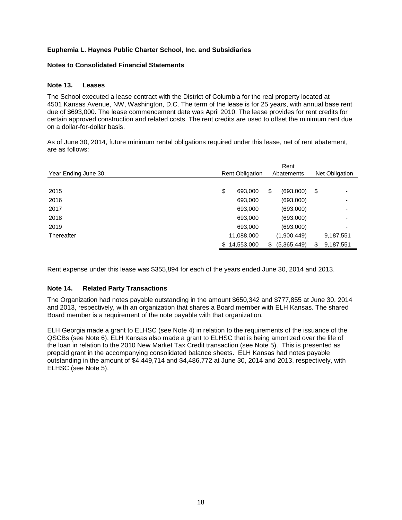#### **Notes to Consolidated Financial Statements**

#### **Note 13. Leases**

The School executed a lease contract with the District of Columbia for the real property located at 4501 Kansas Avenue, NW, Washington, D.C. The term of the lease is for 25 years, with annual base rent due of \$693,000. The lease commencement date was April 2010. The lease provides for rent credits for certain approved construction and related costs. The rent credits are used to offset the minimum rent due on a dollar-for-dollar basis.

As of June 30, 2014, future minimum rental obligations required under this lease, net of rent abatement, are as follows:

|                      | Rent |                                      |    |             |                       |           |
|----------------------|------|--------------------------------------|----|-------------|-----------------------|-----------|
| Year Ending June 30, |      | <b>Rent Obligation</b><br>Abatements |    |             | <b>Net Obligation</b> |           |
|                      |      |                                      |    |             |                       |           |
| 2015                 | \$   | 693,000                              | \$ | (693,000)   | \$                    |           |
| 2016                 |      | 693,000                              |    | (693,000)   |                       |           |
| 2017                 |      | 693,000                              |    | (693,000)   |                       |           |
| 2018                 |      | 693,000                              |    | (693,000)   |                       |           |
| 2019                 |      | 693,000                              |    | (693,000)   |                       |           |
| Thereafter           |      | 11,088,000                           |    | (1,900,449) |                       | 9,187,551 |
|                      |      | 14,553,000                           | \$ | (5,365,449) | \$                    | 9,187,551 |

Rent expense under this lease was \$355,894 for each of the years ended June 30, 2014 and 2013.

#### **Note 14. Related Party Transactions**

The Organization had notes payable outstanding in the amount \$650,342 and \$777,855 at June 30, 2014 and 2013, respectively, with an organization that shares a Board member with ELH Kansas. The shared Board member is a requirement of the note payable with that organization.

ELH Georgia made a grant to ELHSC (see Note 4) in relation to the requirements of the issuance of the QSCBs (see Note 6). ELH Kansas also made a grant to ELHSC that is being amortized over the life of the loan in relation to the 2010 New Market Tax Credit transaction (see Note 5). This is presented as prepaid grant in the accompanying consolidated balance sheets. ELH Kansas had notes payable outstanding in the amount of \$4,449,714 and \$4,486,772 at June 30, 2014 and 2013, respectively, with ELHSC (see Note 5).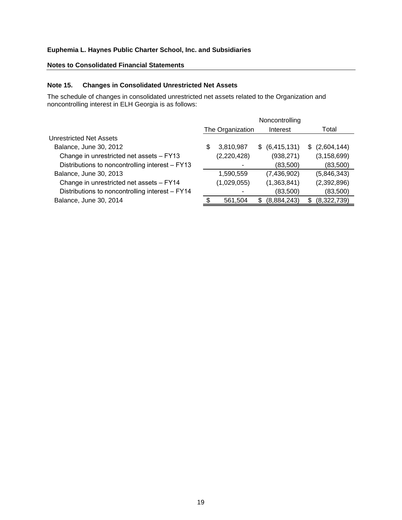#### **Notes to Consolidated Financial Statements**

#### **Note 15. Changes in Consolidated Unrestricted Net Assets**

The schedule of changes in consolidated unrestricted net assets related to the Organization and noncontrolling interest in ELH Georgia is as follows:

|                                                 | Noncontrolling |                  |                  |                    |  |  |  |
|-------------------------------------------------|----------------|------------------|------------------|--------------------|--|--|--|
|                                                 |                | The Organization | Interest         | Total              |  |  |  |
| Unrestricted Net Assets                         |                |                  |                  |                    |  |  |  |
| Balance, June 30, 2012                          | S              | 3,810,987        | \$ (6,415,131)   | (2,604,144)<br>SS. |  |  |  |
| Change in unrestricted net assets - FY13        |                | (2,220,428)      | (938, 271)       | (3, 158, 699)      |  |  |  |
| Distributions to noncontrolling interest - FY13 |                |                  | (83,500)         | (83,500)           |  |  |  |
| Balance, June 30, 2013                          |                | 1,590,559        | (7,436,902)      | (5,846,343)        |  |  |  |
| Change in unrestricted net assets - FY14        |                | (1,029,055)      | (1,363,841)      | (2,392,896)        |  |  |  |
| Distributions to noncontrolling interest - FY14 |                |                  | (83,500)         | (83, 500)          |  |  |  |
| Balance, June 30, 2014                          | £.             | 561,504          | (8,884,243)<br>S | (8,322,739)        |  |  |  |
|                                                 |                |                  |                  |                    |  |  |  |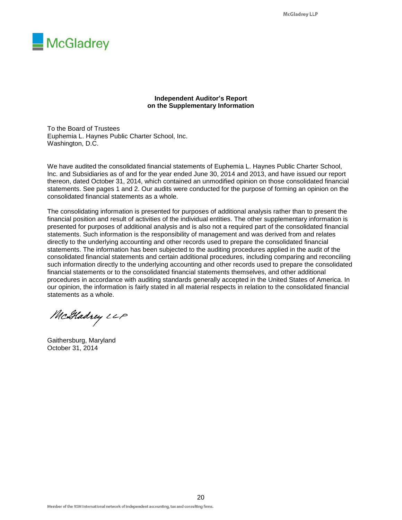

#### **Independent Auditor's Report on the Supplementary Information**

To the Board of Trustees Euphemia L. Haynes Public Charter School, Inc. Washington, D.C.

We have audited the consolidated financial statements of Euphemia L. Haynes Public Charter School, Inc. and Subsidiaries as of and for the year ended June 30, 2014 and 2013, and have issued our report thereon, dated October 31, 2014, which contained an unmodified opinion on those consolidated financial statements. See pages 1 and 2. Our audits were conducted for the purpose of forming an opinion on the consolidated financial statements as a whole.

The consolidating information is presented for purposes of additional analysis rather than to present the financial position and result of activities of the individual entities. The other supplementary information is presented for purposes of additional analysis and is also not a required part of the consolidated financial statements. Such information is the responsibility of management and was derived from and relates directly to the underlying accounting and other records used to prepare the consolidated financial statements. The information has been subjected to the auditing procedures applied in the audit of the consolidated financial statements and certain additional procedures, including comparing and reconciling such information directly to the underlying accounting and other records used to prepare the consolidated financial statements or to the consolidated financial statements themselves, and other additional procedures in accordance with auditing standards generally accepted in the United States of America. In our opinion, the information is fairly stated in all material respects in relation to the consolidated financial statements as a whole.

McMadrey LLP

Gaithersburg, Maryland October 31, 2014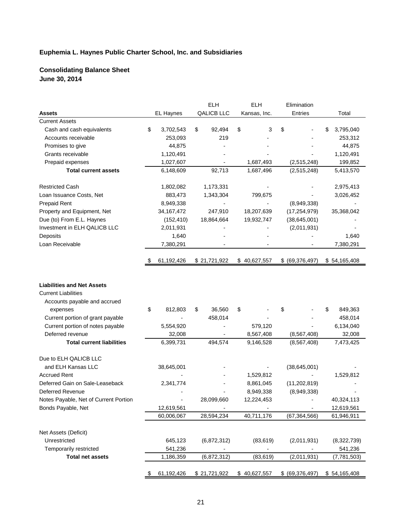# **Consolidating Balance Sheet June 30, 2014**

|                                                                                                 |                  | <b>ELH</b>        | <b>ELH</b>   | Elimination     |    |              |
|-------------------------------------------------------------------------------------------------|------------------|-------------------|--------------|-----------------|----|--------------|
| <b>Assets</b>                                                                                   | <b>EL Haynes</b> | <b>QALICB LLC</b> | Kansas, Inc. | <b>Entries</b>  |    | Total        |
| <b>Current Assets</b>                                                                           |                  |                   |              |                 |    |              |
| Cash and cash equivalents                                                                       | \$<br>3,702,543  | \$<br>92,494      | \$<br>3      | \$              | S  | 3,795,040    |
| Accounts receivable                                                                             | 253,093          | 219               |              |                 |    | 253,312      |
| Promises to give                                                                                | 44,875           |                   |              |                 |    | 44,875       |
| Grants receivable                                                                               | 1,120,491        |                   |              |                 |    | 1,120,491    |
| Prepaid expenses                                                                                | 1,027,607        |                   | 1,687,493    | (2,515,248)     |    | 199,852      |
| <b>Total current assets</b>                                                                     | 6,148,609        | 92,713            | 1,687,496    | (2,515,248)     |    | 5,413,570    |
| <b>Restricted Cash</b>                                                                          | 1,802,082        | 1,173,331         |              |                 |    | 2,975,413    |
| Loan Issuance Costs, Net                                                                        | 883,473          | 1,343,304         | 799,675      |                 |    | 3,026,452    |
| <b>Prepaid Rent</b>                                                                             | 8,949,338        |                   |              | (8,949,338)     |    |              |
| Property and Equipment, Net                                                                     | 34, 167, 472     | 247,910           | 18,207,639   | (17, 254, 979)  |    | 35,368,042   |
| Due (to) From E.L. Haynes                                                                       | (152, 410)       | 18,864,664        | 19,932,747   | (38, 645, 001)  |    |              |
| Investment in ELH QALICB LLC                                                                    | 2,011,931        |                   |              | (2,011,931)     |    |              |
| Deposits                                                                                        | 1,640            |                   |              |                 |    | 1,640        |
| Loan Receivable                                                                                 | 7,380,291        |                   |              |                 |    | 7,380,291    |
|                                                                                                 | \$<br>61,192,426 | \$21,721,922      | \$40,627,557 | \$ (69,376,497) |    | \$54,165,408 |
| <b>Liabilities and Net Assets</b><br><b>Current Liabilities</b><br>Accounts payable and accrued |                  |                   |              |                 |    |              |
| expenses                                                                                        | \$<br>812,803    | \$<br>36,560      | \$           | \$              | \$ | 849,363      |
| Current portion of grant payable                                                                |                  | 458,014           |              |                 |    | 458,014      |
| Current portion of notes payable                                                                | 5,554,920        |                   | 579,120      |                 |    | 6,134,040    |
| Deferred revenue                                                                                | 32,008           |                   | 8,567,408    | (8, 567, 408)   |    | 32,008       |
| <b>Total current liabilities</b>                                                                | 6,399,731        | 494,574           | 9,146,528    | (8, 567, 408)   |    | 7,473,425    |
| Due to ELH QALICB LLC                                                                           |                  |                   |              |                 |    |              |
| and ELH Kansas LLC                                                                              | 38,645,001       |                   |              | (38, 645, 001)  |    |              |
| <b>Accrued Rent</b>                                                                             |                  |                   | 1,529,812    |                 |    | 1,529,812    |
| Deferred Gain on Sale-Leaseback                                                                 | 2,341,774        |                   | 8,861,045    | (11, 202, 819)  |    |              |
| Deferred Revenue                                                                                |                  |                   | 8,949,338    | (8,949,338)     |    |              |
| Notes Payable, Net of Current Portion                                                           |                  | 28,099,660        | 12,224,453   |                 |    | 40,324,113   |
| Bonds Payable, Net                                                                              | 12,619,561       |                   |              |                 |    | 12,619,561   |
|                                                                                                 | 60,006,067       | 28,594,234        | 40,711,176   | (67, 364, 566)  |    | 61,946,911   |
| Net Assets (Deficit)                                                                            |                  |                   |              |                 |    |              |
| Unrestricted                                                                                    | 645,123          | (6,872,312)       | (83, 619)    | (2,011,931)     |    | (8,322,739)  |
| Temporarily restricted                                                                          | 541,236          |                   |              |                 |    | 541,236      |
| <b>Total net assets</b>                                                                         | 1,186,359        | (6,872,312)       | (83, 619)    | (2,011,931)     |    | (7,781,503)  |
|                                                                                                 | \$<br>61,192,426 | \$21,721,922      | \$40,627,557 | \$ (69,376,497) |    | \$54,165,408 |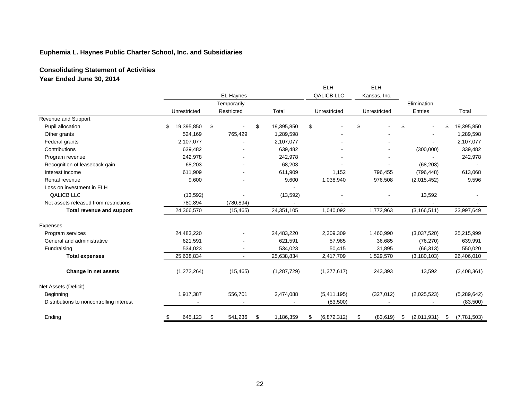# **Consolidating Statement of Activities Year Ended June 30, 2014**

|                                          |                                     |             |    |              |    |               | <b>ELH</b> |              | <b>ELH</b> |                               |    |               |    |             |
|------------------------------------------|-------------------------------------|-------------|----|--------------|----|---------------|------------|--------------|------------|-------------------------------|----|---------------|----|-------------|
|                                          |                                     | EL Haynes   |    |              |    | QALICB LLC    |            | Kansas, Inc. |            |                               |    |               |    |             |
|                                          |                                     | Temporarily |    |              |    |               |            |              |            | Elimination<br><b>Entries</b> |    |               |    |             |
|                                          | Unrestricted<br>Restricted<br>Total |             |    | Unrestricted |    | Unrestricted  |            | Total        |            |                               |    |               |    |             |
| Revenue and Support                      |                                     |             |    |              |    |               |            |              |            |                               |    |               |    |             |
| Pupil allocation                         | \$                                  | 19,395,850  | \$ |              | \$ | 19,395,850    | \$         |              | \$         |                               | \$ |               |    | 19,395,850  |
| Other grants                             |                                     | 524,169     |    | 765,429      |    | 1,289,598     |            |              |            |                               |    |               |    | 1,289,598   |
| Federal grants                           |                                     | 2,107,077   |    |              |    | 2,107,077     |            |              |            |                               |    |               |    | 2,107,077   |
| Contributions                            |                                     | 639,482     |    |              |    | 639,482       |            |              |            |                               |    | (300,000)     |    | 339,482     |
| Program revenue                          |                                     | 242,978     |    |              |    | 242,978       |            |              |            |                               |    |               |    | 242,978     |
| Recognition of leaseback gain            |                                     | 68,203      |    |              |    | 68,203        |            |              |            |                               |    | (68, 203)     |    |             |
| Interest income                          |                                     | 611,909     |    |              |    | 611,909       |            | 1,152        |            | 796,455                       |    | (796, 448)    |    | 613,068     |
| Rental revenue                           |                                     | 9,600       |    |              |    | 9,600         |            | 1,038,940    |            | 976,508                       |    | (2,015,452)   |    | 9,596       |
| Loss on investment in ELH                |                                     |             |    |              |    |               |            |              |            |                               |    |               |    |             |
| <b>QALICB LLC</b>                        |                                     | (13,592)    |    |              |    | (13, 592)     |            |              |            |                               |    | 13,592        |    |             |
| Net assets released from restrictions    |                                     | 780,894     |    | (780, 894)   |    |               |            |              |            |                               |    |               |    |             |
| Total revenue and support                |                                     | 24,366,570  |    | (15, 465)    |    | 24,351,105    |            | 1,040,092    |            | 1,772,963                     |    | (3, 166, 511) |    | 23,997,649  |
| <b>Expenses</b>                          |                                     |             |    |              |    |               |            |              |            |                               |    |               |    |             |
| Program services                         |                                     | 24,483,220  |    |              |    | 24,483,220    |            | 2,309,309    |            | 1,460,990                     |    | (3,037,520)   |    | 25,215,999  |
| General and administrative               |                                     | 621,591     |    |              |    | 621,591       |            | 57,985       |            | 36,685                        |    | (76, 270)     |    | 639,991     |
| Fundraising                              |                                     | 534.023     |    |              |    | 534,023       |            | 50,415       |            | 31,895                        |    | (66, 313)     |    | 550,020     |
| <b>Total expenses</b>                    |                                     | 25,638,834  |    | $\sim$       |    | 25,638,834    |            | 2,417,709    |            | 1,529,570                     |    | (3, 180, 103) |    | 26,406,010  |
| Change in net assets                     |                                     | (1,272,264) |    | (15, 465)    |    | (1, 287, 729) |            | (1,377,617)  |            | 243,393                       |    | 13,592        |    | (2,408,361) |
| Net Assets (Deficit)                     |                                     |             |    |              |    |               |            |              |            |                               |    |               |    |             |
| Beginning                                |                                     | 1,917,387   |    | 556,701      |    | 2,474,088     |            | (5,411,195)  |            | (327, 012)                    |    | (2,025,523)   |    | (5,289,642) |
| Distributions to noncontrolling interest |                                     |             |    |              |    |               |            | (83,500)     |            |                               |    |               |    | (83,500)    |
| Ending                                   | \$                                  | 645,123     | \$ | 541,236      | \$ | 1,186,359     | \$         | (6,872,312)  | \$         | (83, 619)                     | \$ | (2,011,931)   | \$ | (7,781,503) |